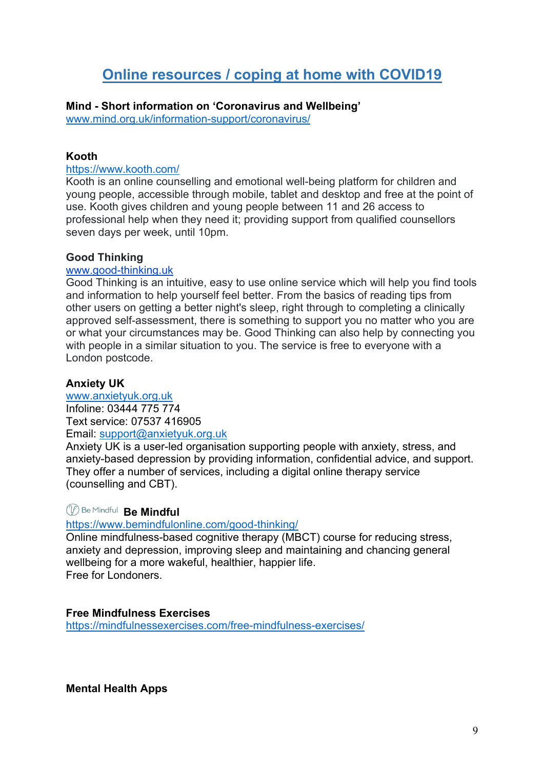# **Online resources / coping at home with COVID19**

**Mind - Short information on 'Coronavirus and Wellbeing'**

www.mind.org.uk/information-support/coronavirus/

# **Kooth**

#### https://www.kooth.com/

Kooth is an online counselling and emotional well-being platform for children and young people, accessible through mobile, tablet and desktop and free at the point of use. Kooth gives children and young people between 11 and 26 access to professional help when they need it; providing support from qualified counsellors seven days per week, until 10pm.

#### **Good Thinking**

#### www.good-thinking.uk

Good Thinking is an intuitive, easy to use online service which will help you find tools and information to help yourself feel better. From the basics of reading tips from other users on getting a better night's sleep, right through to completing a clinically approved self-assessment, there is something to support you no matter who you are or what your circumstances may be. Good Thinking can also help by connecting you with people in a similar situation to you. The service is free to everyone with a London postcode.

# **Anxiety UK**

www.anxietyuk.org.uk Infoline: 03444 775 774 Text service: 07537 416905 Email: support@anxietyuk.org.uk

Anxiety UK is a user-led organisation supporting people with anxiety, stress, and anxiety-based depression by providing information, confidential advice, and support. They offer a number of services, including a digital online therapy service (counselling and CBT).

# *(1)* Be Mindful Be Mindful

# https://www.bemindfulonline.com/good-thinking/

Online mindfulness-based cognitive therapy (MBCT) course for reducing stress, anxiety and depression, improving sleep and maintaining and chancing general wellbeing for a more wakeful, healthier, happier life. Free for Londoners.

# **Free Mindfulness Exercises**

https://mindfulnessexercises.com/free-mindfulness-exercises/

**Mental Health Apps**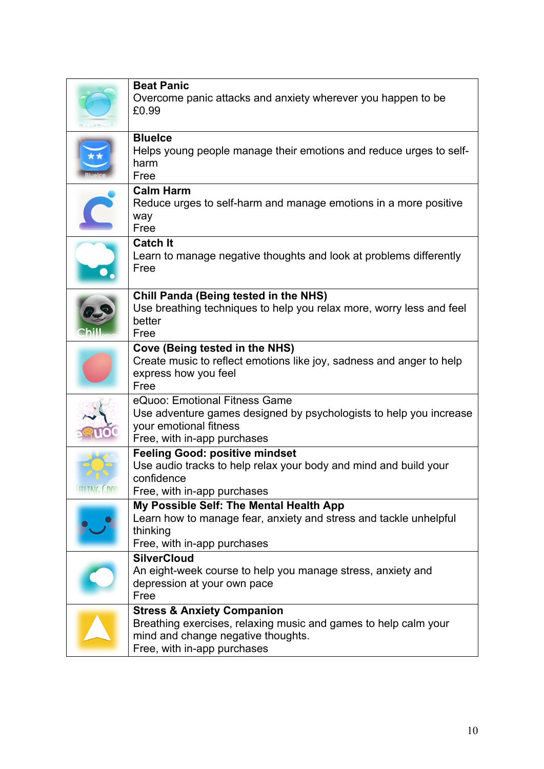| <b>Beat Panic</b><br>Overcome panic attacks and anxiety wherever you happen to be<br>£0.99                                                                                    |
|-------------------------------------------------------------------------------------------------------------------------------------------------------------------------------|
| <b>Bluelce</b><br>Helps young people manage their emotions and reduce urges to self-<br>harm<br>Free                                                                          |
| <b>Calm Harm</b><br>Reduce urges to self-harm and manage emotions in a more positive<br>way<br>Free                                                                           |
| <b>Catch It</b><br>Learn to manage negative thoughts and look at problems differently<br>Free                                                                                 |
| <b>Chill Panda (Being tested in the NHS)</b><br>Use breathing techniques to help you relax more, worry less and feel<br>better<br>Free                                        |
| Cove (Being tested in the NHS)<br>Create music to reflect emotions like joy, sadness and anger to help<br>express how you feel<br>Free                                        |
| eQuoo: Emotional Fitness Game<br>Use adventure games designed by psychologists to help you increase<br>your emotional fitness<br>Free, with in-app purchases                  |
| <b>Feeling Good: positive mindset</b><br>Use audio tracks to help relax your body and mind and build your<br>confidence<br>Free, with in-app purchases                        |
| My Possible Self: The Mental Health App<br>Learn how to manage fear, anxiety and stress and tackle unhelpful<br>thinking<br>Free, with in-app purchases                       |
| <b>SilverCloud</b><br>An eight-week course to help you manage stress, anxiety and<br>depression at your own pace<br>Free                                                      |
| <b>Stress &amp; Anxiety Companion</b><br>Breathing exercises, relaxing music and games to help calm your<br>mind and change negative thoughts.<br>Free, with in-app purchases |